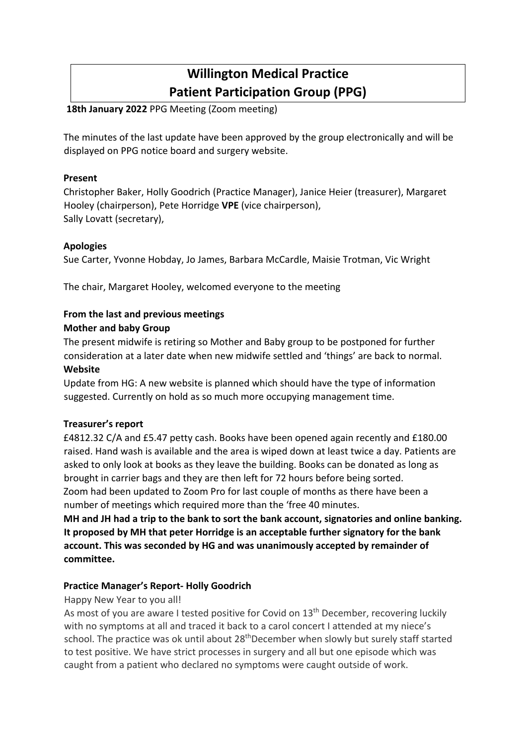# **Willington Medical Practice Patient Participation Group (PPG)**

# **18th January 2022** PPG Meeting (Zoom meeting)

The minutes of the last update have been approved by the group electronically and will be displayed on PPG notice board and surgery website.

### **Present**

Christopher Baker, Holly Goodrich (Practice Manager), Janice Heier (treasurer), Margaret Hooley (chairperson), Pete Horridge **VPE** (vice chairperson), Sally Lovatt (secretary),

## **Apologies**

Sue Carter, Yvonne Hobday, Jo James, Barbara McCardle, Maisie Trotman, Vic Wright

The chair, Margaret Hooley, welcomed everyone to the meeting

# **From the last and previous meetings**

## **Mother and baby Group**

The present midwife is retiring so Mother and Baby group to be postponed for further consideration at a later date when new midwife settled and 'things' are back to normal. **Website** 

Update from HG: A new website is planned which should have the type of information suggested. Currently on hold as so much more occupying management time.

#### **Treasurer's report**

£4812.32 C/A and £5.47 petty cash. Books have been opened again recently and £180.00 raised. Hand wash is available and the area is wiped down at least twice a day. Patients are asked to only look at books as they leave the building. Books can be donated as long as brought in carrier bags and they are then left for 72 hours before being sorted. Zoom had been updated to Zoom Pro for last couple of months as there have been a number of meetings which required more than the 'free 40 minutes.

**MH and JH had a trip to the bank to sort the bank account, signatories and online banking. It proposed by MH that peter Horridge is an acceptable further signatory for the bank account. This was seconded by HG and was unanimously accepted by remainder of committee.**

# **Practice Manager's Report- Holly Goodrich**

#### Happy New Year to you all!

As most of you are aware I tested positive for Covid on 13<sup>th</sup> December, recovering luckily with no symptoms at all and traced it back to a carol concert I attended at my niece's school. The practice was ok until about 28<sup>th</sup>December when slowly but surely staff started to test positive. We have strict processes in surgery and all but one episode which was caught from a patient who declared no symptoms were caught outside of work.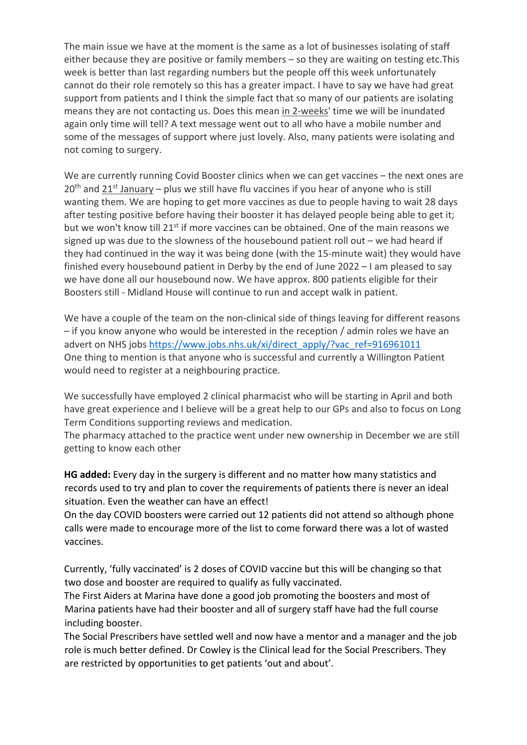The main issue we have at the moment is the same as a lot of businesses isolating of staff either because they are positive or family members – so they are waiting on testing etc.This week is better than last regarding numbers but the people off this week unfortunately cannot do their role remotely so this has a greater impact. I have to say we have had great support from patients and I think the simple fact that so many of our patients are isolating means they are not contacting us. Does this mean in 2-weeks' time we will be inundated again only time will tell? A text message went out to all who have a mobile number and some of the messages of support where just lovely. Also, many patients were isolating and not coming to surgery.

We are currently running Covid Booster clinics when we can get vaccines – the next ones are  $20<sup>th</sup>$  and  $21<sup>st</sup>$  January – plus we still have flu vaccines if you hear of anyone who is still wanting them. We are hoping to get more vaccines as due to people having to wait 28 days after testing positive before having their booster it has delayed people being able to get it; but we won't know till 21<sup>st</sup> if more vaccines can be obtained. One of the main reasons we signed up was due to the slowness of the housebound patient roll out – we had heard if they had continued in the way it was being done (with the 15-minute wait) they would have finished every housebound patient in Derby by the end of June 2022 – I am pleased to say we have done all our housebound now. We have approx. 800 patients eligible for their Boosters still - Midland House will continue to run and accept walk in patient.

We have a couple of the team on the non-clinical side of things leaving for different reasons – if you know anyone who would be interested in the reception / admin roles we have an advert on NHS jobs https://www.jobs.nhs.uk/xi/direct\_apply/?vac\_ref=916961011 One thing to mention is that anyone who is successful and currently a Willington Patient would need to register at a neighbouring practice.

We successfully have employed 2 clinical pharmacist who will be starting in April and both have great experience and I believe will be a great help to our GPs and also to focus on Long Term Conditions supporting reviews and medication.

The pharmacy attached to the practice went under new ownership in December we are still getting to know each other

**HG added:** Every day in the surgery is different and no matter how many statistics and records used to try and plan to cover the requirements of patients there is never an ideal situation. Even the weather can have an effect!

On the day COVID boosters were carried out 12 patients did not attend so although phone calls were made to encourage more of the list to come forward there was a lot of wasted vaccines.

Currently, 'fully vaccinated' is 2 doses of COVID vaccine but this will be changing so that two dose and booster are required to qualify as fully vaccinated.

The First Aiders at Marina have done a good job promoting the boosters and most of Marina patients have had their booster and all of surgery staff have had the full course including booster.

The Social Prescribers have settled well and now have a mentor and a manager and the job role is much better defined. Dr Cowley is the Clinical lead for the Social Prescribers. They are restricted by opportunities to get patients 'out and about'.